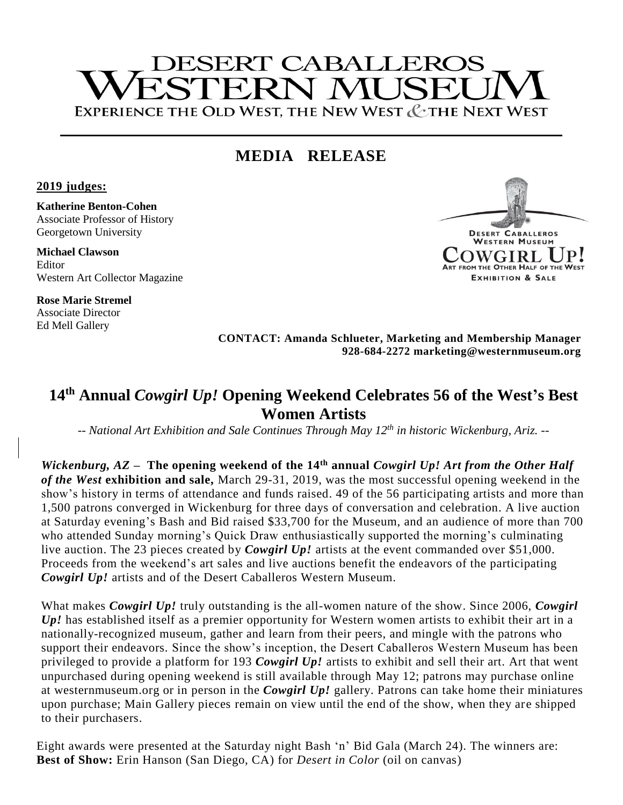# **DESERT CABALLEROS STERN MI ISEI** EXPERIENCE THE OLD WEST, THE NEW WEST & THE NEXT WEST

## **MEDIA RELEASE**

**2019 judges:**

**Katherine Benton-Cohen** Associate Professor of History Georgetown University

**Michael Clawson** Editor Western Art Collector Magazine

**Rose Marie Stremel** Associate Director Ed Mell Gallery



**CONTACT: Amanda Schlueter, Marketing and Membership Manager 928-684-2272 marketing@westernmuseum.org**

### **14th Annual** *Cowgirl Up!* **Opening Weekend Celebrates 56 of the West's Best Women Artists**

*-- National Art Exhibition and Sale Continues Through May 12 th in historic Wickenburg, Ariz. --*

*Wickenburg, AZ* – The opening weekend of the 14<sup>th</sup> annual *Cowgirl Up! Art from the Other Half of the West* **exhibition and sale,** March 29-31, 2019, was the most successful opening weekend in the show's history in terms of attendance and funds raised. 49 of the 56 participating artists and more than 1,500 patrons converged in Wickenburg for three days of conversation and celebration. A live auction at Saturday evening's Bash and Bid raised \$33,700 for the Museum, and an audience of more than 700 who attended Sunday morning's Quick Draw enthusiastically supported the morning's culminating live auction. The 23 pieces created by *Cowgirl Up!* artists at the event commanded over \$51,000. Proceeds from the weekend's art sales and live auctions benefit the endeavors of the participating *Cowgirl Up!* artists and of the Desert Caballeros Western Museum.

What makes *Cowgirl Up!* truly outstanding is the all-women nature of the show. Since 2006, *Cowgirl Up!* has established itself as a premier opportunity for Western women artists to exhibit their art in a nationally-recognized museum, gather and learn from their peers, and mingle with the patrons who support their endeavors. Since the show's inception, the Desert Caballeros Western Museum has been privileged to provide a platform for 193 *Cowgirl Up!* artists to exhibit and sell their art. Art that went unpurchased during opening weekend is still available through May 12; patrons may purchase online at westernmuseum.org or in person in the *Cowgirl Up!* gallery. Patrons can take home their miniatures upon purchase; Main Gallery pieces remain on view until the end of the show, when they are shipped to their purchasers.

Eight awards were presented at the Saturday night Bash 'n' Bid Gala (March 24). The winners are: **Best of Show:** Erin Hanson (San Diego, CA) for *Desert in Color* (oil on canvas)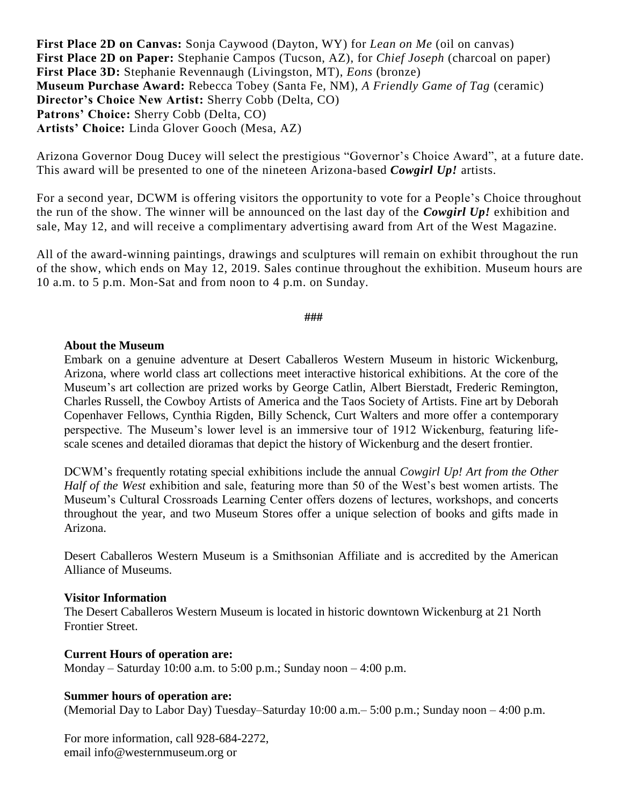**First Place 2D on Canvas:** Sonja Caywood (Dayton, WY) for *Lean on Me* (oil on canvas) **First Place 2D on Paper:** Stephanie Campos (Tucson, AZ), for *Chief Joseph* (charcoal on paper) **First Place 3D:** Stephanie Revennaugh (Livingston, MT), *Eons* (bronze) **Museum Purchase Award:** Rebecca Tobey (Santa Fe, NM), *A Friendly Game of Tag* (ceramic) **Director's Choice New Artist:** Sherry Cobb (Delta, CO) **Patrons' Choice:** Sherry Cobb (Delta, CO) **Artists' Choice:** Linda Glover Gooch (Mesa, AZ)

Arizona Governor Doug Ducey will select the prestigious "Governor's Choice Award", at a future date. This award will be presented to one of the nineteen Arizona-based *Cowgirl Up!* artists.

For a second year, DCWM is offering visitors the opportunity to vote for a People's Choice throughout the run of the show. The winner will be announced on the last day of the *Cowgirl Up!* exhibition and sale, May 12, and will receive a complimentary advertising award from Art of the West Magazine.

All of the award-winning paintings, drawings and sculptures will remain on exhibit throughout the run of the show, which ends on May 12, 2019. Sales continue throughout the exhibition. Museum hours are 10 a.m. to 5 p.m. Mon-Sat and from noon to 4 p.m. on Sunday.

**###**

#### **About the Museum**

Embark on a genuine adventure at Desert Caballeros Western Museum in historic Wickenburg, Arizona, where world class art collections meet interactive historical exhibitions. At the core of the Museum's art collection are prized works by George Catlin, Albert Bierstadt, Frederic Remington, Charles Russell, the Cowboy Artists of America and the Taos Society of Artists. Fine art by Deborah Copenhaver Fellows, Cynthia Rigden, Billy Schenck, Curt Walters and more offer a contemporary perspective. The Museum's lower level is an immersive tour of 1912 Wickenburg, featuring lifescale scenes and detailed dioramas that depict the history of Wickenburg and the desert frontier.

DCWM's frequently rotating special exhibitions include the annual *Cowgirl Up! Art from the Other Half of the West* exhibition and sale, featuring more than 50 of the West's best women artists. The Museum's Cultural Crossroads Learning Center offers dozens of lectures, workshops, and concerts throughout the year, and two Museum Stores offer a unique selection of books and gifts made in Arizona.

Desert Caballeros Western Museum is a Smithsonian Affiliate and is accredited by the American Alliance of Museums.

#### **Visitor Information**

The Desert Caballeros Western Museum is located in historic downtown Wickenburg at 21 North Frontier Street.

#### **Current Hours of operation are:**

Monday – Saturday 10:00 a.m. to 5:00 p.m.; Sunday noon – 4:00 p.m.

#### **Summer hours of operation are:**

(Memorial Day to Labor Day) Tuesday–Saturday 10:00 a.m.– 5:00 p.m.; Sunday noon – 4:00 p.m.

For more information, call 928-684-2272, email info@westernmuseum.org or